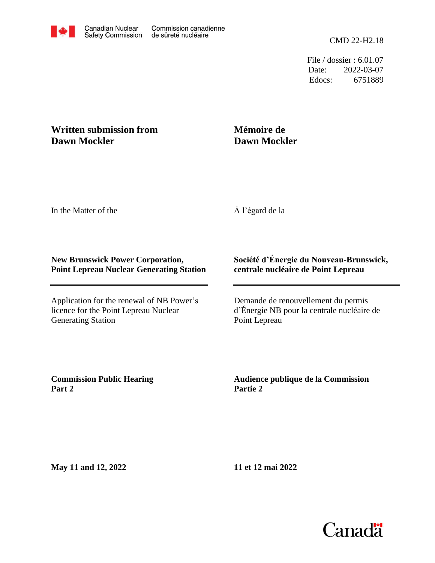File / dossier : 6.01.07 Date: 2022-03-07 Edocs: 6751889

## **Written submission from Dawn Mockler**

## **Mémoire de Dawn Mockler**

In the Matter of the

À l'égard de la

## **New Brunswick Power Corporation, Point Lepreau Nuclear Generating Station**

Application for the renewal of NB Power's licence for the Point Lepreau Nuclear Generating Station

## **Société d'Énergie du Nouveau-Brunswick, centrale nucléaire de Point Lepreau**

Demande de renouvellement du permis d'Énergie NB pour la centrale nucléaire de Point Lepreau

**Commission Public Hearing Part 2**

**Audience publique de la Commission Partie 2**

**May 11 and 12, 2022**

**11 et 12 mai 2022**